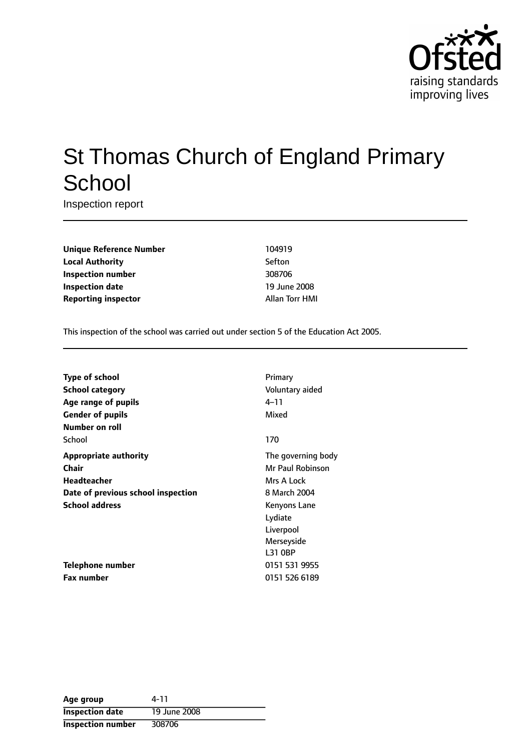

# St Thomas Church of England Primary **School**

Inspection report

**Unique Reference Number** 104919 **Local Authority** Sefton **Inspection number** 308706 **Inspection date** 19 June 2008 **Reporting inspector** Allan Torr HMI

This inspection of the school was carried out under section 5 of the Education Act 2005.

| <b>Type of school</b>              | Primary            |
|------------------------------------|--------------------|
| <b>School category</b>             | Voluntary aided    |
| Age range of pupils                | 4–11               |
| <b>Gender of pupils</b>            | Mixed              |
| Number on roll                     |                    |
| School                             | 170                |
| <b>Appropriate authority</b>       | The governing body |
| <b>Chair</b>                       | Mr Paul Robinson   |
| <b>Headteacher</b>                 | Mrs A Lock         |
| Date of previous school inspection | 8 March 2004       |
| <b>School address</b>              | Kenyons Lane       |
|                                    | Lydiate            |
|                                    | Liverpool          |
|                                    | Merseyside         |
|                                    | L31 0BP            |
| Telephone number                   | 0151 531 9955      |
| <b>Fax number</b>                  | 0151 526 6189      |

| Age group                | 4-11         |
|--------------------------|--------------|
| <b>Inspection date</b>   | 19 June 2008 |
| <b>Inspection number</b> | 308706       |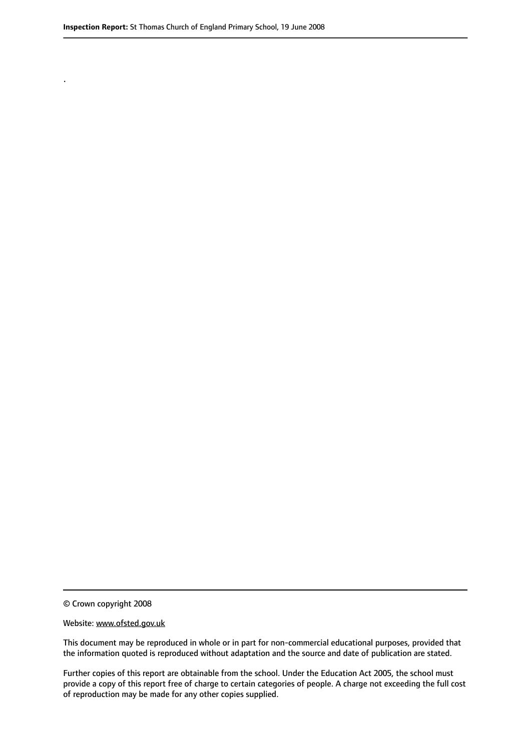.

© Crown copyright 2008

#### Website: www.ofsted.gov.uk

This document may be reproduced in whole or in part for non-commercial educational purposes, provided that the information quoted is reproduced without adaptation and the source and date of publication are stated.

Further copies of this report are obtainable from the school. Under the Education Act 2005, the school must provide a copy of this report free of charge to certain categories of people. A charge not exceeding the full cost of reproduction may be made for any other copies supplied.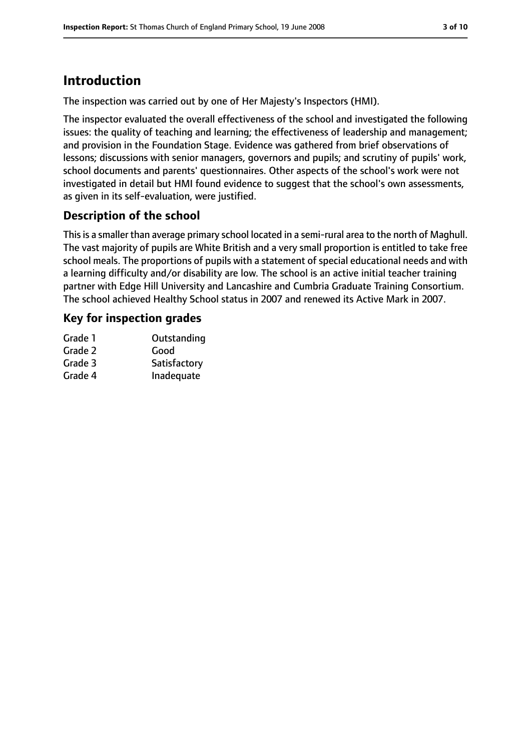# **Introduction**

The inspection was carried out by one of Her Majesty's Inspectors (HMI).

The inspector evaluated the overall effectiveness of the school and investigated the following issues: the quality of teaching and learning; the effectiveness of leadership and management; and provision in the Foundation Stage. Evidence was gathered from brief observations of lessons; discussions with senior managers, governors and pupils; and scrutiny of pupils' work, school documents and parents' questionnaires. Other aspects of the school's work were not investigated in detail but HMI found evidence to suggest that the school's own assessments, as given in its self-evaluation, were justified.

### **Description of the school**

Thisis a smaller than average primary school located in a semi-rural area to the north of Maghull. The vast majority of pupils are White British and a very small proportion is entitled to take free school meals. The proportions of pupils with a statement of special educational needs and with a learning difficulty and/or disability are low. The school is an active initial teacher training partner with Edge Hill University and Lancashire and Cumbria Graduate Training Consortium. The school achieved Healthy School status in 2007 and renewed its Active Mark in 2007.

### **Key for inspection grades**

| Grade 1 | Outstanding  |
|---------|--------------|
| Grade 2 | Good         |
| Grade 3 | Satisfactory |
| Grade 4 | Inadequate   |
|         |              |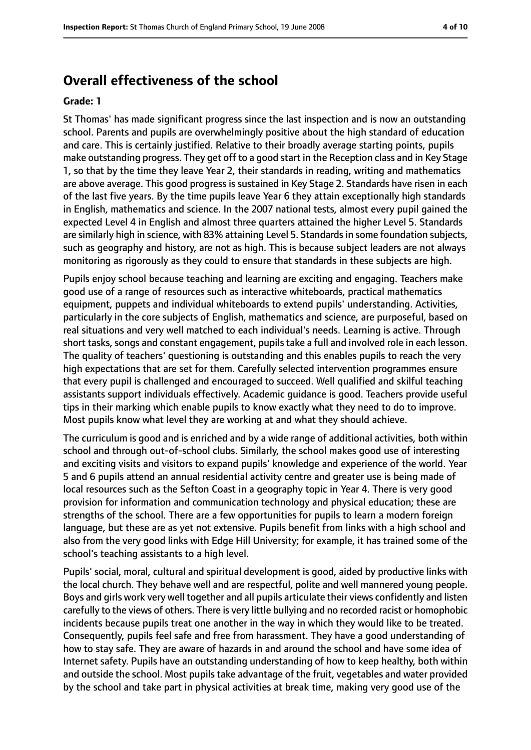### **Overall effectiveness of the school**

#### **Grade: 1**

St Thomas' has made significant progress since the last inspection and is now an outstanding school. Parents and pupils are overwhelmingly positive about the high standard of education and care. This is certainly justified. Relative to their broadly average starting points, pupils make outstanding progress. They get off to a good start in the Reception class and in Key Stage 1, so that by the time they leave Year 2, their standards in reading, writing and mathematics are above average. This good progress is sustained in Key Stage 2. Standards have risen in each of the last five years. By the time pupils leave Year 6 they attain exceptionally high standards in English, mathematics and science. In the 2007 national tests, almost every pupil gained the expected Level 4 in English and almost three quarters attained the higher Level 5. Standards are similarly high in science, with 83% attaining Level 5. Standards in some foundation subjects, such as geography and history, are not as high. This is because subject leaders are not always monitoring as rigorously as they could to ensure that standards in these subjects are high.

Pupils enjoy school because teaching and learning are exciting and engaging. Teachers make good use of a range of resources such as interactive whiteboards, practical mathematics equipment, puppets and individual whiteboards to extend pupils' understanding. Activities, particularly in the core subjects of English, mathematics and science, are purposeful, based on real situations and very well matched to each individual's needs. Learning is active. Through short tasks, songs and constant engagement, pupils take a full and involved role in each lesson. The quality of teachers' questioning is outstanding and this enables pupils to reach the very high expectations that are set for them. Carefully selected intervention programmes ensure that every pupil is challenged and encouraged to succeed. Well qualified and skilful teaching assistants support individuals effectively. Academic guidance is good. Teachers provide useful tips in their marking which enable pupils to know exactly what they need to do to improve. Most pupils know what level they are working at and what they should achieve.

The curriculum is good and is enriched and by a wide range of additional activities, both within school and through out-of-school clubs. Similarly, the school makes good use of interesting and exciting visits and visitors to expand pupils' knowledge and experience of the world. Year 5 and 6 pupils attend an annual residential activity centre and greater use is being made of local resources such as the Sefton Coast in a geography topic in Year 4. There is very good provision for information and communication technology and physical education; these are strengths of the school. There are a few opportunities for pupils to learn a modern foreign language, but these are as yet not extensive. Pupils benefit from links with a high school and also from the very good links with Edge Hill University; for example, it has trained some of the school's teaching assistants to a high level.

Pupils' social, moral, cultural and spiritual development is good, aided by productive links with the local church. They behave well and are respectful, polite and well mannered young people. Boys and girls work very well together and all pupils articulate their views confidently and listen carefully to the views of others. There is very little bullying and no recorded racist or homophobic incidents because pupils treat one another in the way in which they would like to be treated. Consequently, pupils feel safe and free from harassment. They have a good understanding of how to stay safe. They are aware of hazards in and around the school and have some idea of Internet safety. Pupils have an outstanding understanding of how to keep healthy, both within and outside the school. Most pupils take advantage of the fruit, vegetables and water provided by the school and take part in physical activities at break time, making very good use of the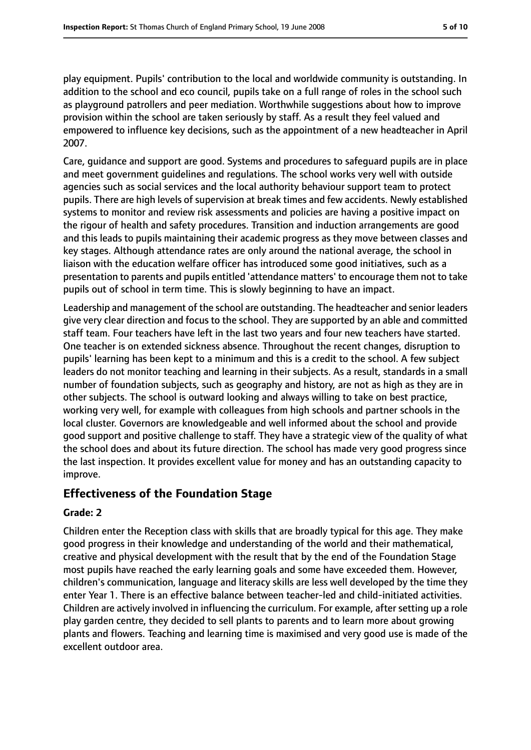play equipment. Pupils' contribution to the local and worldwide community is outstanding. In addition to the school and eco council, pupils take on a full range of roles in the school such as playground patrollers and peer mediation. Worthwhile suggestions about how to improve provision within the school are taken seriously by staff. As a result they feel valued and empowered to influence key decisions, such as the appointment of a new headteacher in April 2007.

Care, guidance and support are good. Systems and procedures to safeguard pupils are in place and meet government guidelines and regulations. The school works very well with outside agencies such as social services and the local authority behaviour support team to protect pupils. There are high levels of supervision at break times and few accidents. Newly established systems to monitor and review risk assessments and policies are having a positive impact on the rigour of health and safety procedures. Transition and induction arrangements are good and this leads to pupils maintaining their academic progress as they move between classes and key stages. Although attendance rates are only around the national average, the school in liaison with the education welfare officer has introduced some good initiatives, such as a presentation to parents and pupils entitled 'attendance matters' to encourage them not to take pupils out of school in term time. This is slowly beginning to have an impact.

Leadership and management of the school are outstanding. The headteacher and senior leaders give very clear direction and focus to the school. They are supported by an able and committed staff team. Four teachers have left in the last two years and four new teachers have started. One teacher is on extended sickness absence. Throughout the recent changes, disruption to pupils' learning has been kept to a minimum and this is a credit to the school. A few subject leaders do not monitor teaching and learning in their subjects. As a result, standards in a small number of foundation subjects, such as geography and history, are not as high as they are in other subjects. The school is outward looking and always willing to take on best practice, working very well, for example with colleagues from high schools and partner schools in the local cluster. Governors are knowledgeable and well informed about the school and provide good support and positive challenge to staff. They have a strategic view of the quality of what the school does and about its future direction. The school has made very good progress since the last inspection. It provides excellent value for money and has an outstanding capacity to improve.

### **Effectiveness of the Foundation Stage**

### **Grade: 2**

Children enter the Reception class with skills that are broadly typical for this age. They make good progress in their knowledge and understanding of the world and their mathematical, creative and physical development with the result that by the end of the Foundation Stage most pupils have reached the early learning goals and some have exceeded them. However, children's communication, language and literacy skills are less well developed by the time they enter Year 1. There is an effective balance between teacher-led and child-initiated activities. Children are actively involved in influencing the curriculum. For example, after setting up a role play garden centre, they decided to sell plants to parents and to learn more about growing plants and flowers. Teaching and learning time is maximised and very good use is made of the excellent outdoor area.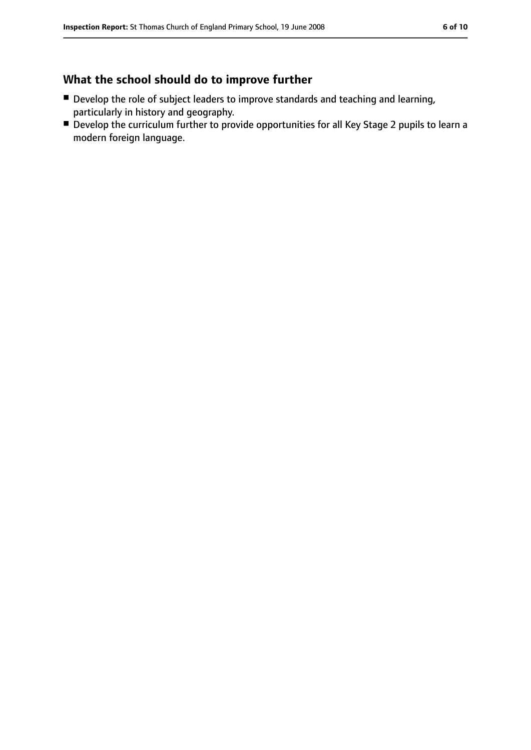## **What the school should do to improve further**

- Develop the role of subject leaders to improve standards and teaching and learning, particularly in history and geography.
- Develop the curriculum further to provide opportunities for all Key Stage 2 pupils to learn a modern foreign language.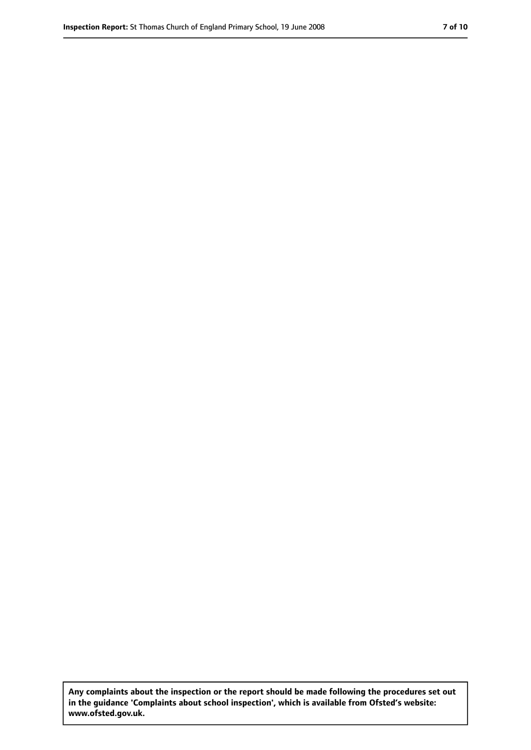**Any complaints about the inspection or the report should be made following the procedures set out in the guidance 'Complaints about school inspection', which is available from Ofsted's website: www.ofsted.gov.uk.**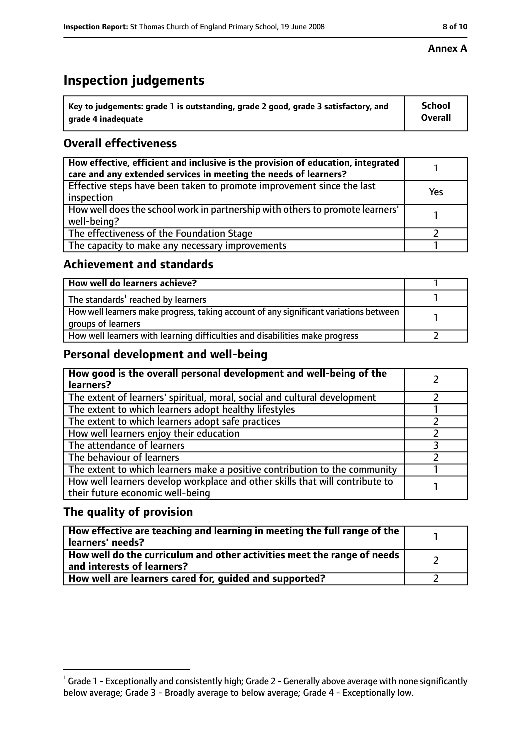# **Inspection judgements**

| $\dot{ }$ Key to judgements: grade 1 is outstanding, grade 2 good, grade 3 satisfactory, and | <b>School</b>  |
|----------------------------------------------------------------------------------------------|----------------|
| arade 4 inadequate                                                                           | <b>Overall</b> |

### **Overall effectiveness**

| How effective, efficient and inclusive is the provision of education, integrated<br>care and any extended services in meeting the needs of learners? |     |
|------------------------------------------------------------------------------------------------------------------------------------------------------|-----|
| Effective steps have been taken to promote improvement since the last<br>inspection                                                                  | Yes |
| How well does the school work in partnership with others to promote learners'<br>well-being?                                                         |     |
| The effectiveness of the Foundation Stage                                                                                                            |     |
| The capacity to make any necessary improvements                                                                                                      |     |

### **Achievement and standards**

| How well do learners achieve?                                                                               |  |
|-------------------------------------------------------------------------------------------------------------|--|
| The standards <sup>1</sup> reached by learners                                                              |  |
| How well learners make progress, taking account of any significant variations between<br>groups of learners |  |
| How well learners with learning difficulties and disabilities make progress                                 |  |

### **Personal development and well-being**

| How good is the overall personal development and well-being of the<br>learners?                                  |  |
|------------------------------------------------------------------------------------------------------------------|--|
| The extent of learners' spiritual, moral, social and cultural development                                        |  |
| The extent to which learners adopt healthy lifestyles                                                            |  |
| The extent to which learners adopt safe practices                                                                |  |
| How well learners enjoy their education                                                                          |  |
| The attendance of learners                                                                                       |  |
| The behaviour of learners                                                                                        |  |
| The extent to which learners make a positive contribution to the community                                       |  |
| How well learners develop workplace and other skills that will contribute to<br>their future economic well-being |  |

### **The quality of provision**

| How effective are teaching and learning in meeting the full range of the<br>learners' needs?          |  |
|-------------------------------------------------------------------------------------------------------|--|
| How well do the curriculum and other activities meet the range of needs<br>and interests of learners? |  |
| How well are learners cared for, guided and supported?                                                |  |

### **Annex A**

 $^1$  Grade 1 - Exceptionally and consistently high; Grade 2 - Generally above average with none significantly below average; Grade 3 - Broadly average to below average; Grade 4 - Exceptionally low.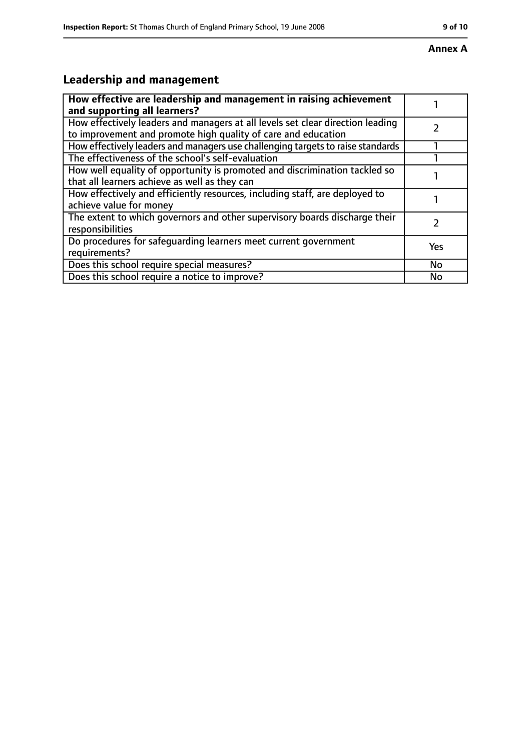# **Leadership and management**

| How effective are leadership and management in raising achievement<br>and supporting all learners?                                              |     |
|-------------------------------------------------------------------------------------------------------------------------------------------------|-----|
| How effectively leaders and managers at all levels set clear direction leading<br>to improvement and promote high quality of care and education |     |
| How effectively leaders and managers use challenging targets to raise standards                                                                 |     |
| The effectiveness of the school's self-evaluation                                                                                               |     |
| How well equality of opportunity is promoted and discrimination tackled so<br>that all learners achieve as well as they can                     |     |
| How effectively and efficiently resources, including staff, are deployed to<br>achieve value for money                                          |     |
| The extent to which governors and other supervisory boards discharge their<br>responsibilities                                                  |     |
| Do procedures for safequarding learners meet current government<br>requirements?                                                                | Yes |
| Does this school require special measures?                                                                                                      | No  |
| Does this school require a notice to improve?                                                                                                   | No  |